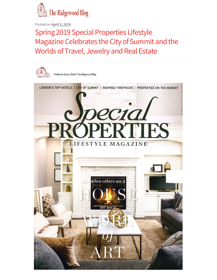

Posted on **April 5, 2019** 

Spring 2019 Special Properties Lifestyle Magazine Celebrates the City of Summit and the Worlds of Travel, Jewelry and Real Estate